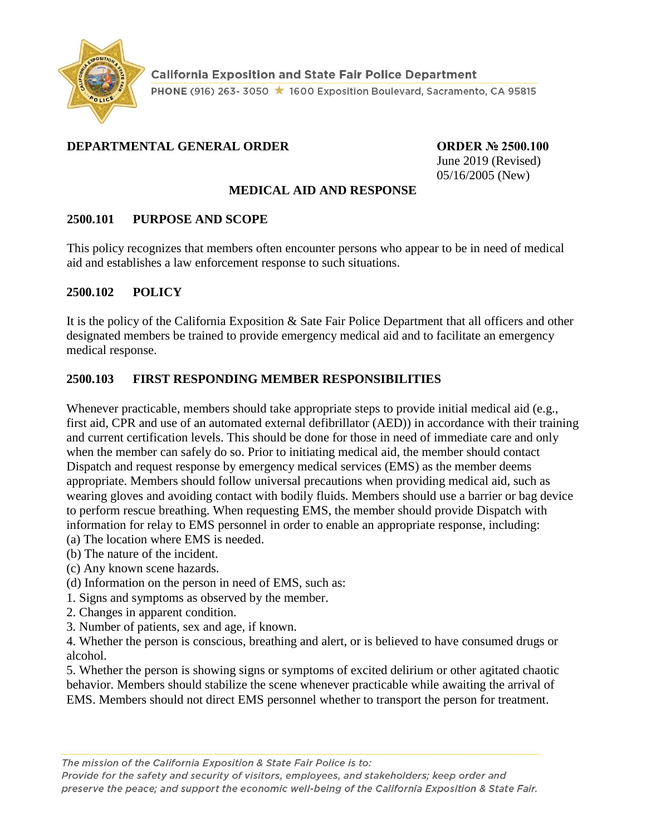

#### **DEPARTMENTAL GENERAL ORDER CORDER ORDER Nº 2500.100**

June 2019 (Revised) 05/16/2005 (New)

#### **MEDICAL AID AND RESPONSE**

#### **2500.101 PURPOSE AND SCOPE**

This policy recognizes that members often encounter persons who appear to be in need of medical aid and establishes a law enforcement response to such situations.

#### **2500.102 POLICY**

It is the policy of the California Exposition & Sate Fair Police Department that all officers and other designated members be trained to provide emergency medical aid and to facilitate an emergency medical response.

#### **2500.103 FIRST RESPONDING MEMBER RESPONSIBILITIES**

Whenever practicable, members should take appropriate steps to provide initial medical aid (e.g., first aid, CPR and use of an automated external defibrillator (AED)) in accordance with their training and current certification levels. This should be done for those in need of immediate care and only when the member can safely do so. Prior to initiating medical aid, the member should contact Dispatch and request response by emergency medical services (EMS) as the member deems appropriate. Members should follow universal precautions when providing medical aid, such as wearing gloves and avoiding contact with bodily fluids. Members should use a barrier or bag device to perform rescue breathing. When requesting EMS, the member should provide Dispatch with information for relay to EMS personnel in order to enable an appropriate response, including: (a) The location where EMS is needed.

- (b) The nature of the incident.
- (c) Any known scene hazards.
- (d) Information on the person in need of EMS, such as:
- 1. Signs and symptoms as observed by the member.
- 2. Changes in apparent condition.
- 3. Number of patients, sex and age, if known.

4. Whether the person is conscious, breathing and alert, or is believed to have consumed drugs or alcohol.

5. Whether the person is showing signs or symptoms of excited delirium or other agitated chaotic behavior. Members should stabilize the scene whenever practicable while awaiting the arrival of EMS. Members should not direct EMS personnel whether to transport the person for treatment.

The mission of the California Exposition & State Fair Police is to:

Provide for the safety and security of visitors, employees, and stakeholders; keep order and preserve the peace; and support the economic well-being of the California Exposition & State Fair.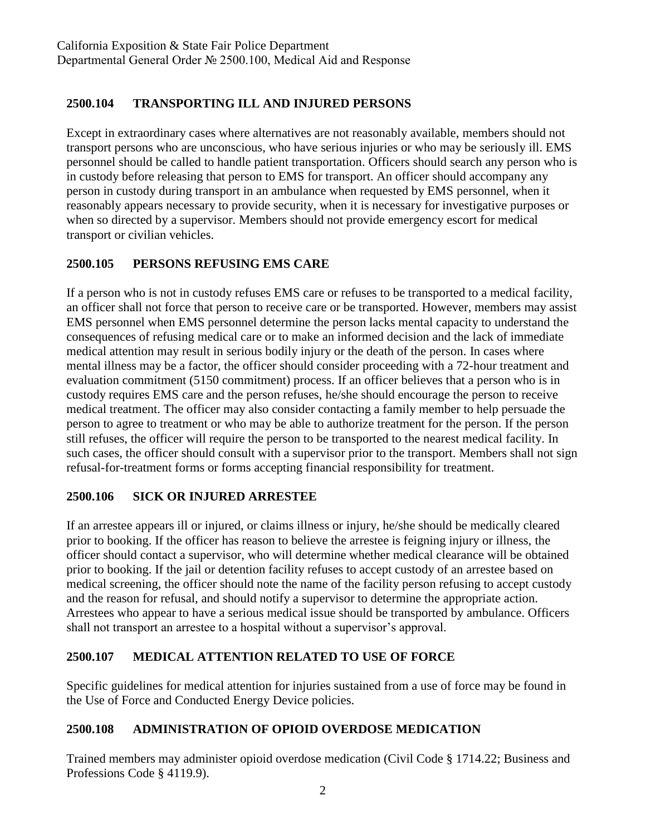### **2500.104 TRANSPORTING ILL AND INJURED PERSONS**

Except in extraordinary cases where alternatives are not reasonably available, members should not transport persons who are unconscious, who have serious injuries or who may be seriously ill. EMS personnel should be called to handle patient transportation. Officers should search any person who is in custody before releasing that person to EMS for transport. An officer should accompany any person in custody during transport in an ambulance when requested by EMS personnel, when it reasonably appears necessary to provide security, when it is necessary for investigative purposes or when so directed by a supervisor. Members should not provide emergency escort for medical transport or civilian vehicles.

### **2500.105 PERSONS REFUSING EMS CARE**

If a person who is not in custody refuses EMS care or refuses to be transported to a medical facility, an officer shall not force that person to receive care or be transported. However, members may assist EMS personnel when EMS personnel determine the person lacks mental capacity to understand the consequences of refusing medical care or to make an informed decision and the lack of immediate medical attention may result in serious bodily injury or the death of the person. In cases where mental illness may be a factor, the officer should consider proceeding with a 72-hour treatment and evaluation commitment (5150 commitment) process. If an officer believes that a person who is in custody requires EMS care and the person refuses, he/she should encourage the person to receive medical treatment. The officer may also consider contacting a family member to help persuade the person to agree to treatment or who may be able to authorize treatment for the person. If the person still refuses, the officer will require the person to be transported to the nearest medical facility. In such cases, the officer should consult with a supervisor prior to the transport. Members shall not sign refusal-for-treatment forms or forms accepting financial responsibility for treatment.

#### **2500.106 SICK OR INJURED ARRESTEE**

If an arrestee appears ill or injured, or claims illness or injury, he/she should be medically cleared prior to booking. If the officer has reason to believe the arrestee is feigning injury or illness, the officer should contact a supervisor, who will determine whether medical clearance will be obtained prior to booking. If the jail or detention facility refuses to accept custody of an arrestee based on medical screening, the officer should note the name of the facility person refusing to accept custody and the reason for refusal, and should notify a supervisor to determine the appropriate action. Arrestees who appear to have a serious medical issue should be transported by ambulance. Officers shall not transport an arrestee to a hospital without a supervisor's approval.

#### **2500.107 MEDICAL ATTENTION RELATED TO USE OF FORCE**

Specific guidelines for medical attention for injuries sustained from a use of force may be found in the Use of Force and Conducted Energy Device policies.

#### **2500.108 ADMINISTRATION OF OPIOID OVERDOSE MEDICATION**

Trained members may administer opioid overdose medication (Civil Code § 1714.22; Business and Professions Code § 4119.9).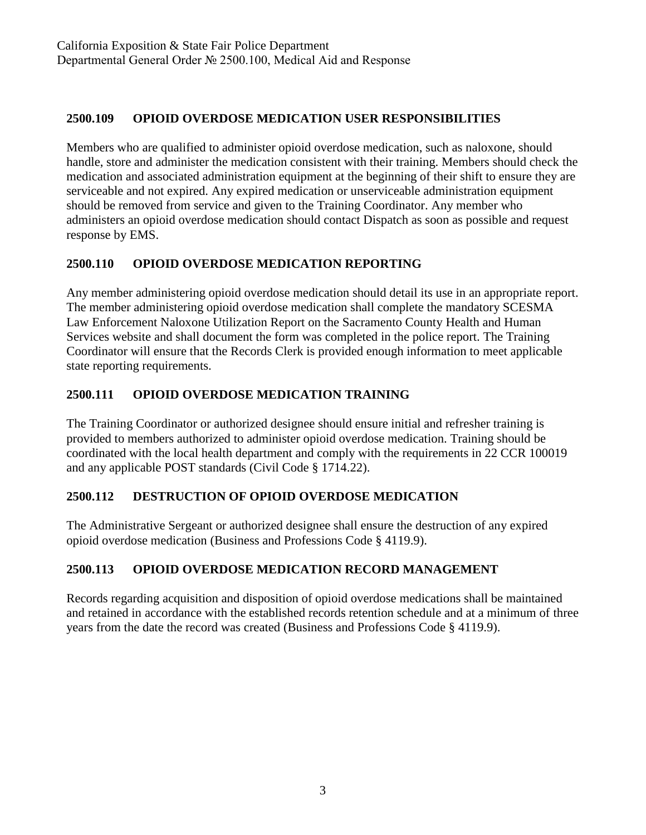## **2500.109 OPIOID OVERDOSE MEDICATION USER RESPONSIBILITIES**

Members who are qualified to administer opioid overdose medication, such as naloxone, should handle, store and administer the medication consistent with their training. Members should check the medication and associated administration equipment at the beginning of their shift to ensure they are serviceable and not expired. Any expired medication or unserviceable administration equipment should be removed from service and given to the Training Coordinator. Any member who administers an opioid overdose medication should contact Dispatch as soon as possible and request response by EMS.

## **2500.110 OPIOID OVERDOSE MEDICATION REPORTING**

Any member administering opioid overdose medication should detail its use in an appropriate report. The member administering opioid overdose medication shall complete the mandatory SCESMA Law Enforcement Naloxone Utilization Report on the Sacramento County Health and Human Services website and shall document the form was completed in the police report. The Training Coordinator will ensure that the Records Clerk is provided enough information to meet applicable state reporting requirements.

## **2500.111 OPIOID OVERDOSE MEDICATION TRAINING**

The Training Coordinator or authorized designee should ensure initial and refresher training is provided to members authorized to administer opioid overdose medication. Training should be coordinated with the local health department and comply with the requirements in 22 CCR 100019 and any applicable POST standards (Civil Code § 1714.22).

## **2500.112 DESTRUCTION OF OPIOID OVERDOSE MEDICATION**

The Administrative Sergeant or authorized designee shall ensure the destruction of any expired opioid overdose medication (Business and Professions Code § 4119.9).

# **2500.113 OPIOID OVERDOSE MEDICATION RECORD MANAGEMENT**

Records regarding acquisition and disposition of opioid overdose medications shall be maintained and retained in accordance with the established records retention schedule and at a minimum of three years from the date the record was created (Business and Professions Code § 4119.9).